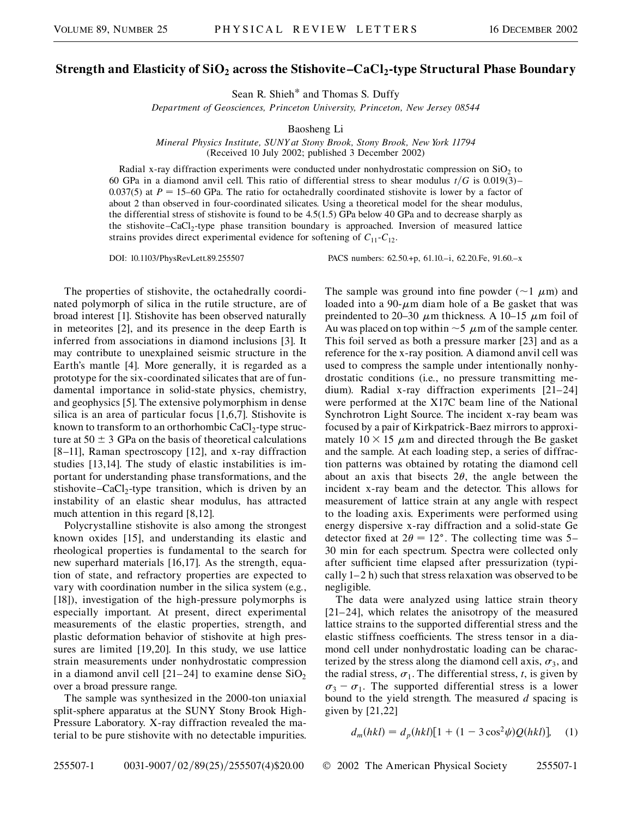## **Strength and Elasticity of SiO<sub>2</sub> across the Stishovite–CaCl<sub>2</sub>-type Structural Phase Boundary**

Sean R. Shieh\* and Thomas S. Duffy

*Department of Geosciences, Princeton University, Princeton, New Jersey 08544*

Baosheng Li

*Mineral Physics Institute, SUNY at Stony Brook, Stony Brook, New York 11794* (Received 10 July 2002; published 3 December 2002)

Radial x-ray diffraction experiments were conducted under nonhydrostatic compression on  $SiO<sub>2</sub>$  to 60 GPa in a diamond anvil cell. This ratio of differential stress to shear modulus  $t/G$  is 0.019(3)– 0.037(5) at  $P = 15-60$  GPa. The ratio for octahedrally coordinated stishovite is lower by a factor of about 2 than observed in four-coordinated silicates. Using a theoretical model for the shear modulus, the differential stress of stishovite is found to be 4.5(1.5) GPa below 40 GPa and to decrease sharply as the stishovite–CaCl2-type phase transition boundary is approached. Inversion of measured lattice strains provides direct experimental evidence for softening of  $C_{11}$ - $C_{12}$ .

DOI: 10.1103/PhysRevLett.89.255507 PACS numbers: 62.50.+p, 61.10.–i, 62.20.Fe, 91.60.–x

The properties of stishovite, the octahedrally coordinated polymorph of silica in the rutile structure, are of broad interest [1]. Stishovite has been observed naturally in meteorites [2], and its presence in the deep Earth is inferred from associations in diamond inclusions [3]. It may contribute to unexplained seismic structure in the Earth's mantle [4]. More generally, it is regarded as a prototype for the six-coordinated silicates that are of fundamental importance in solid-state physics, chemistry, and geophysics [5]. The extensive polymorphism in dense silica is an area of particular focus [1,6,7]. Stishovite is known to transform to an orthorhombic  $CaCl<sub>2</sub>$ -type structure at  $50 \pm 3$  GPa on the basis of theoretical calculations [8–11], Raman spectroscopy [12], and x-ray diffraction studies [13,14]. The study of elastic instabilities is important for understanding phase transformations, and the stishovite–CaCl<sub>2</sub>-type transition, which is driven by an instability of an elastic shear modulus, has attracted much attention in this regard [8,12].

Polycrystalline stishovite is also among the strongest known oxides [15], and understanding its elastic and rheological properties is fundamental to the search for new superhard materials [16,17]. As the strength, equation of state, and refractory properties are expected to vary with coordination number in the silica system (e.g., [18]), investigation of the high-pressure polymorphs is especially important. At present, direct experimental measurements of the elastic properties, strength, and plastic deformation behavior of stishovite at high pressures are limited [19,20]. In this study, we use lattice strain measurements under nonhydrostatic compression in a diamond anvil cell [21–24] to examine dense  $SiO<sub>2</sub>$ over a broad pressure range.

The sample was synthesized in the 2000-ton uniaxial split-sphere apparatus at the SUNY Stony Brook High-Pressure Laboratory. X-ray diffraction revealed the material to be pure stishovite with no detectable impurities. The sample was ground into fine powder ( $\sim$ 1  $\mu$ m) and loaded into a  $90$ - $\mu$ m diam hole of a Be gasket that was preindented to 20–30  $\mu$ m thickness. A 10–15  $\mu$ m foil of Au was placed on top within  $\sim$  5  $\mu$ m of the sample center. This foil served as both a pressure marker [23] and as a reference for the x-ray position. A diamond anvil cell was used to compress the sample under intentionally nonhydrostatic conditions (i.e., no pressure transmitting medium). Radial x-ray diffraction experiments [21–24] were performed at the X17C beam line of the National Synchrotron Light Source. The incident x-ray beam was focused by a pair of Kirkpatrick-Baez mirrors to approximately  $10 \times 15$  µm and directed through the Be gasket and the sample. At each loading step, a series of diffraction patterns was obtained by rotating the diamond cell about an axis that bisects  $2\theta$ , the angle between the incident x-ray beam and the detector. This allows for measurement of lattice strain at any angle with respect to the loading axis. Experiments were performed using energy dispersive x-ray diffraction and a solid-state Ge detector fixed at  $2\theta = 12^{\circ}$ . The collecting time was 5– 30 min for each spectrum. Spectra were collected only after sufficient time elapsed after pressurization (typically 1–2 h) such that stress relaxation was observed to be negligible.

The data were analyzed using lattice strain theory [21–24], which relates the anisotropy of the measured lattice strains to the supported differential stress and the elastic stiffness coefficients. The stress tensor in a diamond cell under nonhydrostatic loading can be characterized by the stress along the diamond cell axis,  $\sigma_3$ , and the radial stress,  $\sigma_1$ . The differential stress, *t*, is given by  $\sigma_3 - \sigma_1$ . The supported differential stress is a lower bound to the yield strength. The measured *d* spacing is given by [21,22]

$$
d_m(hkl) = d_p(hkl)[1 + (1 - 3\cos^2\psi)Q(hkl)], \quad (1)
$$

255507-1 0031-9007/02/89(25)/255507(4)\$20.00 © 2002 The American Physical Society 255507-1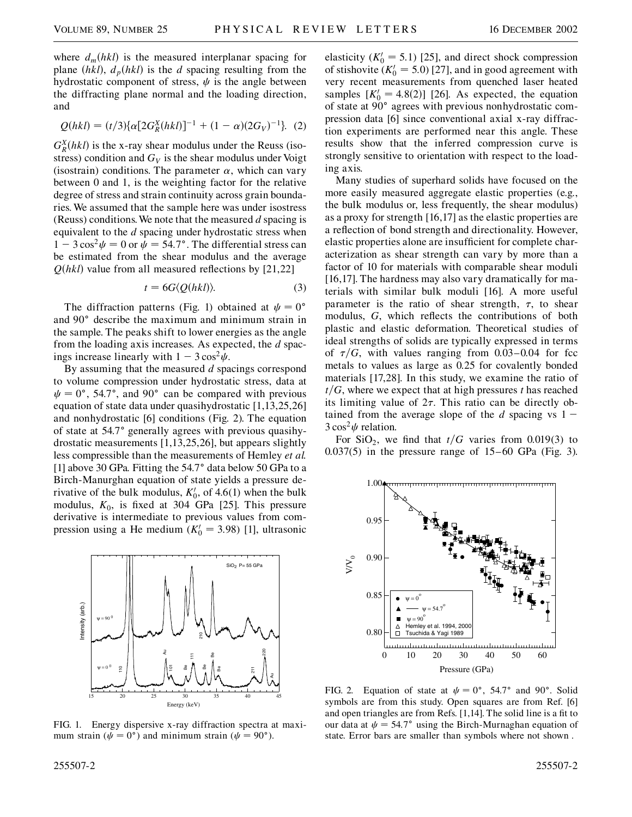where  $d_m(hkl)$  is the measured interplanar spacing for plane  $(hkl)$ ,  $d<sub>p</sub>(hkl)$  is the *d* spacing resulting from the hydrostatic component of stress,  $\psi$  is the angle between the diffracting plane normal and the loading direction, and

$$
Q(hkl) = (t/3)\{\alpha[2G_R^X(hkl)]^{-1} + (1-\alpha)(2G_V)^{-1}\}.
$$
 (2)

 $G_R^X(hkl)$  is the x-ray shear modulus under the Reuss (isostress) condition and  $G_V$  is the shear modulus under Voigt (isostrain) conditions. The parameter  $\alpha$ , which can vary between 0 and 1, is the weighting factor for the relative degree of stress and strain continuity across grain boundaries. We assumed that the sample here was under isostress (Reuss) conditions.We note that the measured *d* spacing is equivalent to the *d* spacing under hydrostatic stress when  $1 - 3\cos^2 \psi = 0$  or  $\psi = 54.7^\circ$ . The differential stress can be estimated from the shear modulus and the average  $Q(hkl)$  value from all measured reflections by [21,22]

$$
t = 6G \langle Q(hkl) \rangle. \tag{3}
$$

The diffraction patterns (Fig. 1) obtained at  $\psi = 0^{\circ}$ and 90° describe the maximum and minimum strain in the sample. The peaks shift to lower energies as the angle from the loading axis increases. As expected, the *d* spacings increase linearly with  $1 - 3\cos^2 \psi$ .

By assuming that the measured *d* spacings correspond to volume compression under hydrostatic stress, data at  $\psi = 0^{\circ}$ , 54.7°, and 90° can be compared with previous equation of state data under quasihydrostatic [1,13,25,26] and nonhydrostatic [6] conditions (Fig. 2). The equation of state at 54.7° generally agrees with previous quasihydrostatic measurements [1,13,25,26], but appears slightly less compressible than the measurements of Hemley *et al.* [1] above 30 GPa. Fitting the 54.7° data below 50 GPa to a Birch-Manurghan equation of state yields a pressure derivative of the bulk modulus,  $K_0^{\prime}$ , of 4.6(1) when the bulk modulus,  $K_0$ , is fixed at 304 GPa [25]. This pressure derivative is intermediate to previous values from compression using a He medium  $(K_0' = 3.98)$  [1], ultrasonic



FIG. 1. Energy dispersive x-ray diffraction spectra at maximum strain ( $\psi = 0^{\circ}$ ) and minimum strain ( $\psi = 90^{\circ}$ ).

elasticity  $(K_0' = 5.1)$  [25], and direct shock compression of stishovite  $(K_0' = 5.0)$  [27], and in good agreement with very recent measurements from quenched laser heated samples  $[K_0' = 4.8(2)]$  [26]. As expected, the equation of state at 90° agrees with previous nonhydrostatic compression data [6] since conventional axial x-ray diffraction experiments are performed near this angle. These results show that the inferred compression curve is strongly sensitive to orientation with respect to the loading axis.

Many studies of superhard solids have focused on the more easily measured aggregate elastic properties (e.g., the bulk modulus or, less frequently, the shear modulus) as a proxy for strength [16,17] as the elastic properties are a reflection of bond strength and directionality. However, elastic properties alone are insufficient for complete characterization as shear strength can vary by more than a factor of 10 for materials with comparable shear moduli [16,17]. The hardness may also vary dramatically for materials with similar bulk moduli [16]. A more useful parameter is the ratio of shear strength,  $\tau$ , to shear modulus, *G*, which reflects the contributions of both plastic and elastic deformation. Theoretical studies of ideal strengths of solids are typically expressed in terms of  $\tau/G$ , with values ranging from 0.03–0.04 for fcc metals to values as large as 0.25 for covalently bonded materials [17,28]. In this study, we examine the ratio of  $t/G$ , where we expect that at high pressures *t* has reached its limiting value of  $2\tau$ . This ratio can be directly obtained from the average slope of the *d* spacing vs  $1 3 \cos^2 \psi$  relation.

For SiO<sub>2</sub>, we find that  $t/G$  varies from 0.019(3) to 0.037(5) in the pressure range of 15–60 GPa (Fig. 3).



FIG. 2. Equation of state at  $\psi = 0^{\circ}$ , 54.7° and 90°. Solid symbols are from this study. Open squares are from Ref. [6] and open triangles are from Refs. [1,14]. The solid line is a fit to our data at  $\psi = 54.7^{\circ}$  using the Birch-Murnaghan equation of state. Error bars are smaller than symbols where not shown .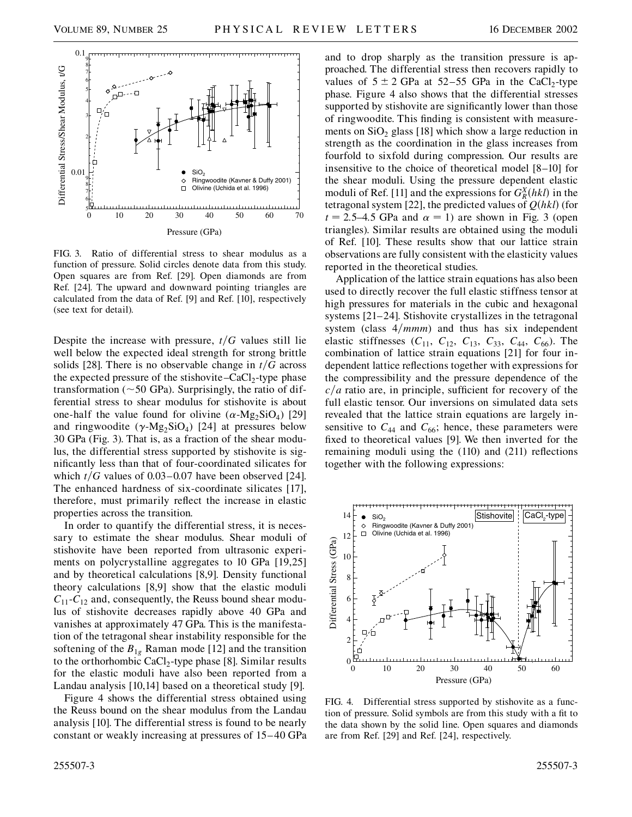

FIG. 3. Ratio of differential stress to shear modulus as a function of pressure. Solid circles denote data from this study. Open squares are from Ref. [29]. Open diamonds are from Ref. [24]. The upward and downward pointing triangles are calculated from the data of Ref. [9] and Ref. [10], respectively (see text for detail).

Despite the increase with pressure,  $t/G$  values still lie well below the expected ideal strength for strong brittle solids [28]. There is no observable change in  $t/G$  across the expected pressure of the stishovite–CaCl<sub>2</sub>-type phase transformation ( $\sim$  50 GPa). Surprisingly, the ratio of differential stress to shear modulus for stishovite is about one-half the value found for olivine  $(\alpha - Mg_2SiO_4)$  [29] and ringwoodite  $(\gamma \text{-Mg}_2 \text{SiO}_4)$  [24] at pressures below 30 GPa (Fig. 3). That is, as a fraction of the shear modulus, the differential stress supported by stishovite is significantly less than that of four-coordinated silicates for which  $t/G$  values of 0.03–0.07 have been observed [24]. The enhanced hardness of six-coordinate silicates [17], therefore, must primarily reflect the increase in elastic properties across the transition.

In order to quantify the differential stress, it is necessary to estimate the shear modulus. Shear moduli of stishovite have been reported from ultrasonic experiments on polycrystalline aggregates to 10 GPa [19,25] and by theoretical calculations [8,9]. Density functional theory calculations [8,9] show that the elastic moduli  $C_{11}$ - $C_{12}$  and, consequently, the Reuss bound shear modulus of stishovite decreases rapidly above 40 GPa and vanishes at approximately 47 GPa. This is the manifestation of the tetragonal shear instability responsible for the softening of the  $B_{1g}$  Raman mode [12] and the transition to the orthorhombic  $CaCl<sub>2</sub>$ -type phase [8]. Similar results for the elastic moduli have also been reported from a Landau analysis [10,14] based on a theoretical study [9].

Figure 4 shows the differential stress obtained using the Reuss bound on the shear modulus from the Landau analysis [10]. The differential stress is found to be nearly constant or weakly increasing at pressures of 15–40 GPa and to drop sharply as the transition pressure is approached. The differential stress then recovers rapidly to values of  $5 \pm 2$  GPa at  $52-55$  GPa in the CaCl<sub>2</sub>-type phase. Figure 4 also shows that the differential stresses supported by stishovite are significantly lower than those of ringwoodite. This finding is consistent with measurements on  $SiO<sub>2</sub>$  glass [18] which show a large reduction in strength as the coordination in the glass increases from fourfold to sixfold during compression. Our results are insensitive to the choice of theoretical model [8–10] for the shear moduli. Using the pressure dependent elastic moduli of Ref. [11] and the expressions for  $G_R^X(hkl)$  in the tetragonal system [22], the predicted values of  $Q(hkl)$  (for  $t = 2.5-4.5$  GPa and  $\alpha = 1$ ) are shown in Fig. 3 (open triangles). Similar results are obtained using the moduli of Ref. [10]. These results show that our lattice strain observations are fully consistent with the elasticity values reported in the theoretical studies.

Application of the lattice strain equations has also been used to directly recover the full elastic stiffness tensor at high pressures for materials in the cubic and hexagonal systems [21–24]. Stishovite crystallizes in the tetragonal system (class  $4/mmm$ ) and thus has six independent elastic stiffnesses  $(C_{11}, C_{12}, C_{13}, C_{33}, C_{44}, C_{66})$ . The combination of lattice strain equations [21] for four independent lattice reflections together with expressions for the compressibility and the pressure dependence of the  $c/a$  ratio are, in principle, sufficient for recovery of the full elastic tensor. Our inversions on simulated data sets revealed that the lattice strain equations are largely insensitive to  $C_{44}$  and  $C_{66}$ ; hence, these parameters were fixed to theoretical values [9]. We then inverted for the remaining moduli using the (110) and (211) reflections together with the following expressions:



FIG. 4. Differential stress supported by stishovite as a function of pressure. Solid symbols are from this study with a fit to the data shown by the solid line. Open squares and diamonds are from Ref. [29] and Ref. [24], respectively.